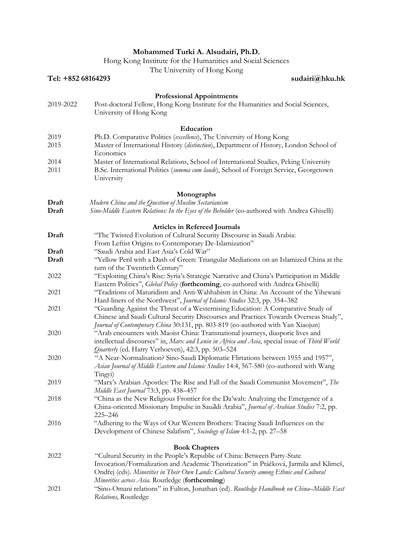## **Mohammed Turki A. Alsudairi, Ph.D.**

Hong Kong Institute for the Humanities and Social Sciences

The University of Hong Kong

|                    | The University of Hong Kong                                                                                                                 |
|--------------------|---------------------------------------------------------------------------------------------------------------------------------------------|
| Tel: +852 68164293 | sudairi@hku.hk                                                                                                                              |
|                    |                                                                                                                                             |
| 2019-2022          | <b>Professional Appointments</b><br>Post-doctoral Fellow, Hong Kong Institute for the Humanities and Social Sciences,                       |
|                    | University of Hong Kong                                                                                                                     |
|                    |                                                                                                                                             |
|                    | Education                                                                                                                                   |
| 2019               | Ph.D. Comparative Politics (excellence), The University of Hong Kong                                                                        |
| 2015               | Master of International History (distinction), Department of History, London School of                                                      |
|                    | Economics                                                                                                                                   |
| 2014               | Master of International Relations, School of International Studies, Peking University                                                       |
| 2011               | B.Sc. International Politics (summa cum laude), School of Foreign Service, Georgetown                                                       |
|                    | University                                                                                                                                  |
|                    |                                                                                                                                             |
|                    | Monographs                                                                                                                                  |
| Draft              | Modern China and the Question of Muslim Sectarianism                                                                                        |
| Draft              | Sino-Middle Eastern Relations: In the Eyes of the Beholder (co-authored with Andrea Ghiselli)                                               |
|                    | <b>Articles in Refereed Journals</b>                                                                                                        |
| Draft              | "The Twisted Evolution of Cultural Security Discourse in Saudi Arabia:                                                                      |
|                    | From Leftist Origins to Contemporary De-Islamization"                                                                                       |
| Draft              | "Saudi Arabia and East Asia's Cold War"                                                                                                     |
| Draft              | "Yellow Peril with a Dash of Green: Triangular Mediations on an Islamized China at the                                                      |
|                    | turn of the Twentieth Century"                                                                                                              |
| 2022               | "Exploiting China's Rise: Syria's Strategic Narrative and China's Participation in Middle                                                   |
|                    | Eastern Politics", Global Policy (forthcoming, co-authored with Andrea Ghiselli)                                                            |
| 2021               | "Traditions of Maturidism and Anti-Wahhabism in China: An Account of the Yihewani                                                           |
|                    | Hard-liners of the Northwest", Journal of Islamic Studies 32:3, pp. 354–382                                                                 |
| 2021               | "Guarding Against the Threat of a Westernising Education: A Comparative Study of                                                            |
|                    | Chinese and Saudi Cultural Security Discourses and Practices Towards Overseas Study",                                                       |
|                    | Journal of Contemporary China 30:131, pp. 803-819 (co-authored with Yan Xiaojun)                                                            |
| 2020               | "Arab encounters with Maoist China: Transnational journeys, diasporic lives and                                                             |
|                    | intellectual discourses" in, Marx and Lenin in Africa and Asia, special issue of Third World                                                |
| 2020               | Quarterly (ed. Harry Verhoeven), 42:3, pp. 503-524<br>"A Near-Normalisation? Sino-Saudi Diplomatic Flirtations between 1955 and 1957",      |
|                    | Asian Journal of Middle Eastern and Islamic Studies 14:4, 567-580 (co-authored with Wang                                                    |
|                    | Tingyi)                                                                                                                                     |
| 2019               | "Marx's Arabian Apostles: The Rise and Fall of the Saudi Communist Movement", The                                                           |
|                    | Middle East Journal 73:3, pp. 438-457                                                                                                       |
| 2018               | "China as the New Religious Frontier for the Da'wah: Analyzing the Emergence of a                                                           |
|                    | China-oriented Missionary Impulse in Sau2di Arabia", Journal of Arabian Studies 7:2, pp.                                                    |
|                    | 225-246                                                                                                                                     |
| 2016               | "Adhering to the Ways of Our Western Brothers: Tracing Saudi Influences on the                                                              |
|                    | Development of Chinese Salafism", Sociology of Islam 4:1-2, pp. 27–58                                                                       |
|                    |                                                                                                                                             |
|                    | <b>Book Chapters</b>                                                                                                                        |
| 2022               | "Cultural Security in the People's Republic of China: Between Party-State                                                                   |
|                    | Invocation/Formalization and Academic Theorization" in Ptáčková, Jarmila and Klimeš,                                                        |
|                    | Ondřej (eds). Minorities in Their Own Lands: Cultural Security among Ethnic and Cultural                                                    |
| 2021               | Minorities across Asia. Routledge (forthcoming)<br>"Sino-Omani relations" in Fulton, Jonathan (ed). Routledge Handbook on China-Middle East |
|                    | Relations, Routledge                                                                                                                        |
|                    |                                                                                                                                             |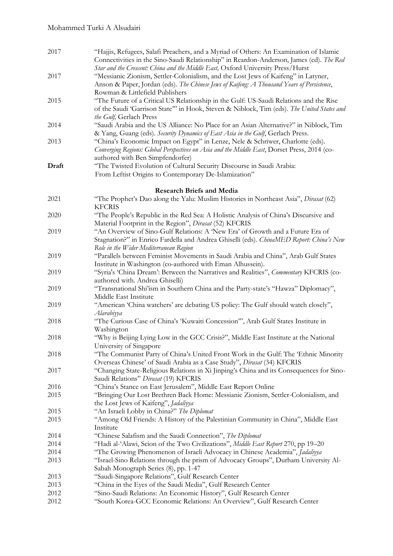| 2017  | "Hajjis, Refugees, Salafi Preachers, and a Myriad of Others: An Examination of Islamic<br>Connectivities in the Sino-Saudi Relationship" in Reardon-Anderson, James (ed). The Red<br>Star and the Crescent: China and the Middle East, Oxford University Press/Hurst |
|-------|----------------------------------------------------------------------------------------------------------------------------------------------------------------------------------------------------------------------------------------------------------------------|
| 2017  | "Messianic Zionism, Settler-Colonialism, and the Lost Jews of Kaifeng" in Latyner,<br>Anson & Paper, Jordan (eds). The Chinese Jews of Kaifeng: A Thousand Years of Persistence,<br>Rowman & Littlefield Publishers                                                  |
| 2015  | "The Future of a Critical US Relationship in the Gulf: US-Saudi Relations and the Rise<br>of the Saudi 'Garrison State"' in Hook, Steven & Niblock, Tim (eds). The United States and<br>the Gulf, Gerlach Press                                                      |
| 2014  | "Saudi Arabia and the US Alliance: No Place for an Asian Alternative?" in Niblock, Tim<br>& Yang, Guang (eds). Security Dynamics of East Asia in the Gulf, Gerlach Press.                                                                                            |
| 2013  | "China's Economic Impact on Egypt" in Lenze, Nele & Schriwer, Charlotte (eds).<br>Converging Regions: Global Perspectives on Asia and the Middle East, Dorset Press, 2014 (co-<br>authored with Ben Simpfendorfer)                                                   |
| Draft | "The Twisted Evolution of Cultural Security Discourse in Saudi Arabia:<br>From Leftist Origins to Contemporary De-Islamization"                                                                                                                                      |
|       | <b>Research Briefs and Media</b>                                                                                                                                                                                                                                     |
| 2021  | "The Prophet's Dao along the Yalu: Muslim Histories in Northeast Asia", Dirasat (62)<br><b>KFCRIS</b>                                                                                                                                                                |
| 2020  | "The People's Republic in the Red Sea: A Holistic Analysis of China's Discursive and<br>Material Footprint in the Region", Dirasat (52) KFCRIS                                                                                                                       |
| 2019  | "An Overview of Sino-Gulf Relations: A 'New Era' of Growth and a Future Era of<br>Stagnation?" in Enrico Fardella and Andrea Ghiselli (eds). ChinaMED Report: China's New<br>Role in the Wider Mediterranean Region                                                  |
| 2019  | "Parallels between Feminist Movements in Saudi Arabia and China", Arab Gulf States<br>Institute in Washington (co-authored with Eman Alhussein).                                                                                                                     |
| 2019  | "Syria's 'China Dream': Between the Narratives and Realities", Commentary KFCRIS (co-<br>authored with. Andrea Ghiselli)                                                                                                                                             |
| 2019  | "Transnational Shi'ism in Southern China and the Party-state's "Hawza" Diplomacy",<br>Middle East Institute                                                                                                                                                          |
| 2019  | "American 'China watchers' are debating US policy: The Gulf should watch closely",<br>Alarabiyya                                                                                                                                                                     |
| 2018  | "The Curious Case of China's 'Kuwaiti Concession"', Arab Gulf States Institute in<br>Washington                                                                                                                                                                      |
| 2018  | "Why is Beijing Lying Low in the GCC Crisis?", Middle East Institute at the National<br>University of Singapore                                                                                                                                                      |
| 2018  | "The Communist Party of China's United Front Work in the Gulf: The 'Ethnic Minority<br>Overseas Chinese' of Saudi Arabia as a Case Study", Dirasat (34) KFCRIS                                                                                                       |
| 2017  | "Changing State-Religious Relations in Xi Jinping's China and its Consequences for Sino-<br>Saudi Relations" Dirasat (19) KFCRIS                                                                                                                                     |
| 2016  | "China's Stance on East Jerusalem", Middle East Report Online                                                                                                                                                                                                        |
| 2015  | "Bringing Our Lost Brethren Back Home: Messianic Zionism, Settler-Colonialism, and<br>the Lost Jews of Kaifeng", Jadaliyya                                                                                                                                           |
| 2015  | "An Israeli Lobby in China?" The Diplomat                                                                                                                                                                                                                            |
| 2015  | "Among Old Friends: A History of the Palestinian Community in China", Middle East<br>Institute                                                                                                                                                                       |
| 2014  | "Chinese Salafism and the Saudi Connection", The Diplomat                                                                                                                                                                                                            |
| 2014  | "Hadi al-'Alawi, Scion of the Two Civilizations", Middle East Report 270, pp 19-20                                                                                                                                                                                   |
| 2014  | "The Growing Phenomenon of Israeli Advocacy in Chinese Academia", <i>Jadaliyya</i>                                                                                                                                                                                   |
| 2013  | "Israel-Sino Relations through the prism of Advocacy Groups", Durham University Al-<br>Sabah Monograph Series (8), pp. 1-47                                                                                                                                          |
| 2013  | "Saudi-Singapore Relations", Gulf Research Center                                                                                                                                                                                                                    |
| 2013  | "China in the Eyes of the Saudi Media", Gulf Research Center                                                                                                                                                                                                         |
| 2012  | "Sino-Saudi Relations: An Economic History", Gulf Research Center                                                                                                                                                                                                    |
| 2012  | "South Korea-GCC Economic Relations: An Overview", Gulf Research Center                                                                                                                                                                                              |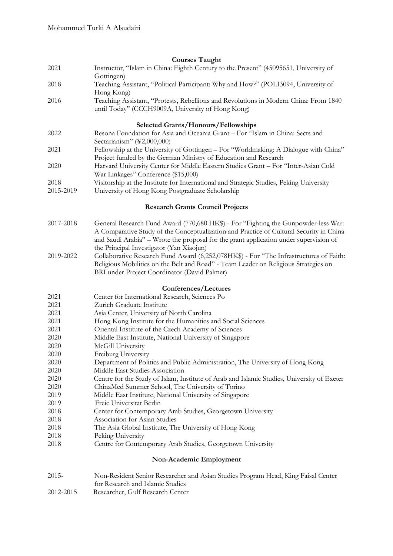## **Courses Taught**

| 2021                                       | Instructor, "Islam in China: Eighth Century to the Present" (45095651, University of<br>Gottingen)                                                                                                                                                                                                                 |  |
|--------------------------------------------|--------------------------------------------------------------------------------------------------------------------------------------------------------------------------------------------------------------------------------------------------------------------------------------------------------------------|--|
| 2018                                       | Teaching Assistant, "Political Participant: Why and How?" (POLI3094, University of<br>Hong Kong)                                                                                                                                                                                                                   |  |
| 2016                                       | Teaching Assistant, "Protests, Rebellions and Revolutions in Modern China: From 1840<br>until Today" (CCCH9009A, University of Hong Kong)                                                                                                                                                                          |  |
| <b>Selected Grants/Honours/Fellowships</b> |                                                                                                                                                                                                                                                                                                                    |  |
| 2022                                       | Resona Foundation for Asia and Oceania Grant - For "Islam in China: Sects and<br>Sectarianism" (¥2,000,000)                                                                                                                                                                                                        |  |
| 2021                                       | Fellowship at the University of Gottingen – For "Worldmaking: A Dialogue with China"<br>Project funded by the German Ministry of Education and Research                                                                                                                                                            |  |
| 2020                                       | Harvard University Center for Middle Eastern Studies Grant - For "Inter-Asian Cold                                                                                                                                                                                                                                 |  |
| 2018                                       | War Linkages" Conference (\$15,000)<br>Visitorship at the Institute for International and Strategic Studies, Peking University                                                                                                                                                                                     |  |
| 2015-2019                                  | University of Hong Kong Postgraduate Scholarship                                                                                                                                                                                                                                                                   |  |
| <b>Research Grants Council Projects</b>    |                                                                                                                                                                                                                                                                                                                    |  |
| 2017-2018                                  | General Research Fund Award (770,680 HK\$) - For "Fighting the Gunpowder-less War:<br>A Comparative Study of the Conceptualization and Practice of Cultural Security in China<br>and Saudi Arabia" - Wrote the proposal for the grant application under supervision of<br>the Principal Investigator (Yan Xiaojun) |  |
| 2019-2022                                  | Collaborative Research Fund Award (6,252,078HK\$) - For "The Infrastructures of Faith:<br>Religious Mobilities on the Belt and Road" - Team Leader on Religious Strategies on<br>BRI under Project Coordinator (David Palmer)                                                                                      |  |
|                                            | Conferences/Lectures                                                                                                                                                                                                                                                                                               |  |
| 2021                                       | Center for International Research, Sciences Po                                                                                                                                                                                                                                                                     |  |
| 2021                                       | Zurich Graduate Institute                                                                                                                                                                                                                                                                                          |  |
| 2021                                       | Asia Center, University of North Carolina                                                                                                                                                                                                                                                                          |  |
| 2021                                       | Hong Kong Institute for the Humanities and Social Sciences                                                                                                                                                                                                                                                         |  |
| 2021                                       | Oriental Institute of the Czech Academy of Sciences                                                                                                                                                                                                                                                                |  |
| 2020                                       | Middle East Institute, National University of Singapore                                                                                                                                                                                                                                                            |  |
| 2020                                       | McGill University                                                                                                                                                                                                                                                                                                  |  |
| 2020                                       | Freiburg University                                                                                                                                                                                                                                                                                                |  |
| 2020                                       | Department of Politics and Public Administration, The University of Hong Kong                                                                                                                                                                                                                                      |  |
| 2020                                       | Middle East Studies Association                                                                                                                                                                                                                                                                                    |  |
| 2020                                       | Centre for the Study of Islam, Institute of Arab and Islamic Studies, University of Exeter                                                                                                                                                                                                                         |  |
| 2020                                       | ChinaMed Summer School, The University of Torino                                                                                                                                                                                                                                                                   |  |
| 2019                                       | Middle East Institute, National University of Singapore                                                                                                                                                                                                                                                            |  |
| 2019                                       | Freie Universitat Berlin                                                                                                                                                                                                                                                                                           |  |
| 2018                                       | Center for Contemporary Arab Studies, Georgetown University                                                                                                                                                                                                                                                        |  |
| 2018                                       | Association for Asian Studies                                                                                                                                                                                                                                                                                      |  |
| 2018                                       | The Asia Global Institute, The University of Hong Kong                                                                                                                                                                                                                                                             |  |
| 2018<br>2018                               | Peking University<br>Centre for Contemporary Arab Studies, Georgetown University                                                                                                                                                                                                                                   |  |
|                                            | Non-Academic Employment                                                                                                                                                                                                                                                                                            |  |
| $2015 -$                                   | Non-Resident Senior Researcher and Asian Studies Program Head, King Faisal Center<br>for Research and Islamic Studies                                                                                                                                                                                              |  |

2012-2015 Researcher, Gulf Research Center